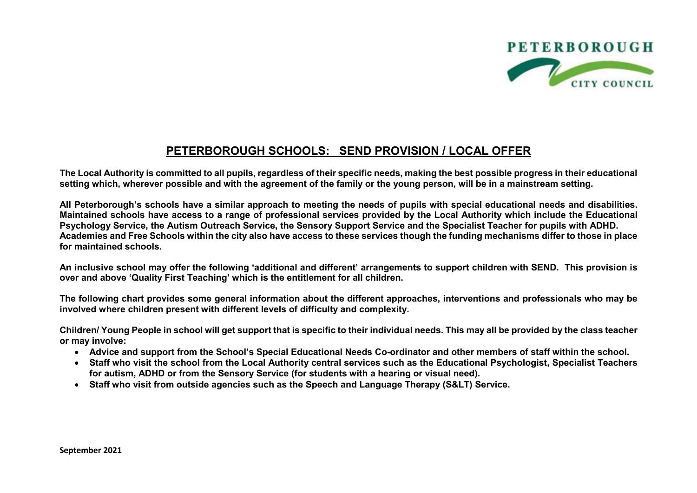

## **PETERBOROUGH SCHOOLS: SEND PROVISION / LOCAL OFFER**

**The Local Authority is committed to all pupils, regardless of their specific needs, making the best possible progress in their educational setting which, wherever possible and with the agreement of the family or the young person, will be in a mainstream setting.** 

**All Peterborough's schools have a similar approach to meeting the needs of pupils with special educational needs and disabilities. Maintained schools have access to a range of professional services provided by the Local Authority which include the Educational Psychology Service, the Autism Outreach Service, the Sensory Support Service and the Specialist Teacher for pupils with ADHD. Academies and Free Schools within the city also have access to these services though the funding mechanisms differ to those in place for maintained schools.** 

**An inclusive school may offer the following 'additional and different' arrangements to support children with SEND. This provision is over and above 'Quality First Teaching' which is the entitlement for all children.**

**The following chart provides some general information about the different approaches, interventions and professionals who may be involved where children present with different levels of difficulty and complexity.**

**Children/ Young People in school will get support that is specific to their individual needs. This may all be provided by the class teacher or may involve:**

- **Advice and support from the School's Special Educational Needs Co-ordinator and other members of staff within the school.**
- **Staff who visit the school from the Local Authority central services such as the Educational Psychologist, Specialist Teachers for autism, ADHD or from the Sensory Service (for students with a hearing or visual need).**
- Staff who visit from outside agencies such as the Speech and Language Therapy (S&LT) Service.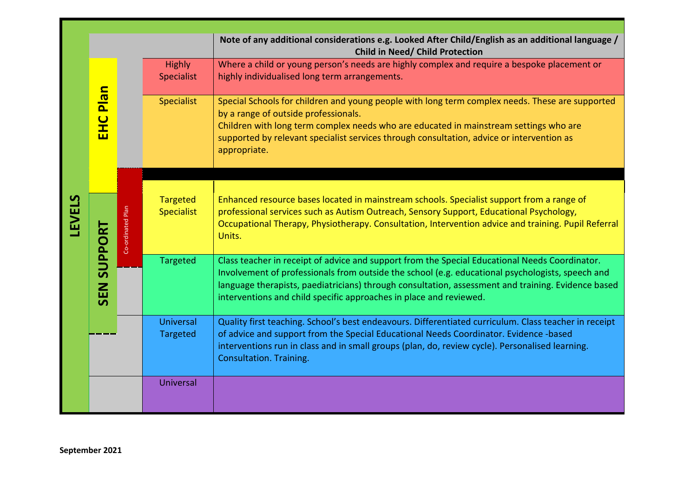|                |                    |                   |                                      | Note of any additional considerations e.g. Looked After Child/English as an additional language /<br>Child in Need/ Child Protection                                                                                                                                                                                                                                           |
|----------------|--------------------|-------------------|--------------------------------------|--------------------------------------------------------------------------------------------------------------------------------------------------------------------------------------------------------------------------------------------------------------------------------------------------------------------------------------------------------------------------------|
|                | <b>EHC Plan</b>    |                   | <b>Highly</b><br>Specialist          | Where a child or young person's needs are highly complex and require a bespoke placement or<br>highly individualised long term arrangements.                                                                                                                                                                                                                                   |
|                |                    |                   | <b>Specialist</b>                    | Special Schools for children and young people with long term complex needs. These are supported<br>by a range of outside professionals.<br>Children with long term complex needs who are educated in mainstream settings who are<br>supported by relevant specialist services through consultation, advice or intervention as<br>appropriate.                                  |
|                |                    |                   |                                      |                                                                                                                                                                                                                                                                                                                                                                                |
| LEVELS         | <b>SEN SUPPORT</b> | Co-ordinated Plan | <b>Targeted</b><br><b>Specialist</b> | Enhanced resource bases located in mainstream schools. Specialist support from a range of<br>professional services such as Autism Outreach, Sensory Support, Educational Psychology,<br>Occupational Therapy, Physiotherapy. Consultation, Intervention advice and training. Pupil Referral<br>Units.                                                                          |
|                |                    |                   | <b>Targeted</b>                      | Class teacher in receipt of advice and support from the Special Educational Needs Coordinator.<br>Involvement of professionals from outside the school (e.g. educational psychologists, speech and<br>language therapists, paediatricians) through consultation, assessment and training. Evidence based<br>interventions and child specific approaches in place and reviewed. |
|                |                    |                   | <b>Universal</b><br>Targeted         | Quality first teaching. School's best endeavours. Differentiated curriculum. Class teacher in receipt<br>of advice and support from the Special Educational Needs Coordinator. Evidence -based<br>interventions run in class and in small groups (plan, do, review cycle). Personalised learning.<br>Consultation. Training.                                                   |
|                |                    |                   | Universal                            |                                                                                                                                                                                                                                                                                                                                                                                |
| September 2021 |                    |                   |                                      |                                                                                                                                                                                                                                                                                                                                                                                |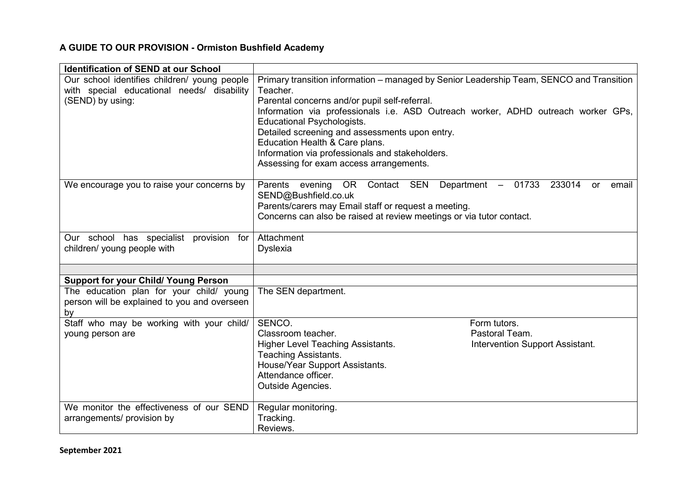## **A GUIDE TO OUR PROVISION - Ormiston Bushfield Academy**

| <b>Identification of SEND at our School</b>                                                    |                                                                                                                                                                                                                                                                                                                                                           |
|------------------------------------------------------------------------------------------------|-----------------------------------------------------------------------------------------------------------------------------------------------------------------------------------------------------------------------------------------------------------------------------------------------------------------------------------------------------------|
| Our school identifies children/ young people<br>with special educational needs/ disability     | Primary transition information – managed by Senior Leadership Team, SENCO and Transition<br>Teacher.                                                                                                                                                                                                                                                      |
| (SEND) by using:                                                                               | Parental concerns and/or pupil self-referral.<br>Information via professionals i.e. ASD Outreach worker, ADHD outreach worker GPs,<br><b>Educational Psychologists.</b><br>Detailed screening and assessments upon entry.<br>Education Health & Care plans.<br>Information via professionals and stakeholders.<br>Assessing for exam access arrangements. |
| We encourage you to raise your concerns by                                                     | OR Contact SEN Department -<br>01733<br>233014<br>Parents evening<br>email<br><b>or</b><br>SEND@Bushfield.co.uk<br>Parents/carers may Email staff or request a meeting.<br>Concerns can also be raised at review meetings or via tutor contact.                                                                                                           |
| Our school has specialist provision for<br>children/ young people with                         | Attachment<br><b>Dyslexia</b>                                                                                                                                                                                                                                                                                                                             |
|                                                                                                |                                                                                                                                                                                                                                                                                                                                                           |
| <b>Support for your Child/ Young Person</b>                                                    |                                                                                                                                                                                                                                                                                                                                                           |
| The education plan for your child/ young<br>person will be explained to you and overseen<br>by | The SEN department.                                                                                                                                                                                                                                                                                                                                       |
| Staff who may be working with your child/                                                      | SENCO.<br>Form tutors.                                                                                                                                                                                                                                                                                                                                    |
| young person are                                                                               | Classroom teacher.<br>Pastoral Team.                                                                                                                                                                                                                                                                                                                      |
|                                                                                                | Higher Level Teaching Assistants.<br>Intervention Support Assistant.<br><b>Teaching Assistants.</b>                                                                                                                                                                                                                                                       |
|                                                                                                | House/Year Support Assistants.<br>Attendance officer.                                                                                                                                                                                                                                                                                                     |
|                                                                                                | <b>Outside Agencies.</b>                                                                                                                                                                                                                                                                                                                                  |
| We monitor the effectiveness of our SEND                                                       | Regular monitoring.                                                                                                                                                                                                                                                                                                                                       |
| arrangements/ provision by                                                                     | Tracking.                                                                                                                                                                                                                                                                                                                                                 |
|                                                                                                | Reviews.                                                                                                                                                                                                                                                                                                                                                  |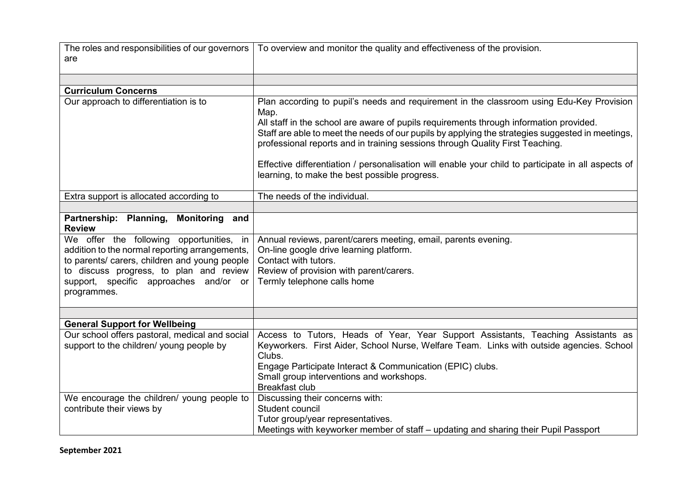| The roles and responsibilities of our governors                                          | To overview and monitor the quality and effectiveness of the provision.                                                                                                           |
|------------------------------------------------------------------------------------------|-----------------------------------------------------------------------------------------------------------------------------------------------------------------------------------|
| are                                                                                      |                                                                                                                                                                                   |
|                                                                                          |                                                                                                                                                                                   |
|                                                                                          |                                                                                                                                                                                   |
| <b>Curriculum Concerns</b>                                                               |                                                                                                                                                                                   |
| Our approach to differentiation is to                                                    | Plan according to pupil's needs and requirement in the classroom using Edu-Key Provision<br>Map.                                                                                  |
|                                                                                          | All staff in the school are aware of pupils requirements through information provided.                                                                                            |
|                                                                                          | Staff are able to meet the needs of our pupils by applying the strategies suggested in meetings,<br>professional reports and in training sessions through Quality First Teaching. |
|                                                                                          | Effective differentiation / personalisation will enable your child to participate in all aspects of                                                                               |
|                                                                                          | learning, to make the best possible progress.                                                                                                                                     |
| Extra support is allocated according to                                                  | The needs of the individual.                                                                                                                                                      |
|                                                                                          |                                                                                                                                                                                   |
| Partnership: Planning, Monitoring and<br><b>Review</b>                                   |                                                                                                                                                                                   |
| We offer the following opportunities, in                                                 | Annual reviews, parent/carers meeting, email, parents evening.                                                                                                                    |
| addition to the normal reporting arrangements,                                           | On-line google drive learning platform.                                                                                                                                           |
| to parents/ carers, children and young people<br>to discuss progress, to plan and review | Contact with tutors.<br>Review of provision with parent/carers.                                                                                                                   |
| support, specific approaches and/or or                                                   | Termly telephone calls home                                                                                                                                                       |
| programmes.                                                                              |                                                                                                                                                                                   |
|                                                                                          |                                                                                                                                                                                   |
|                                                                                          |                                                                                                                                                                                   |
| <b>General Support for Wellbeing</b>                                                     |                                                                                                                                                                                   |
| Our school offers pastoral, medical and social                                           | Access to Tutors, Heads of Year, Year Support Assistants, Teaching Assistants as                                                                                                  |
| support to the children/ young people by                                                 | Keyworkers. First Aider, School Nurse, Welfare Team. Links with outside agencies. School                                                                                          |
|                                                                                          | Clubs.                                                                                                                                                                            |
|                                                                                          | Engage Participate Interact & Communication (EPIC) clubs.<br>Small group interventions and workshops.                                                                             |
|                                                                                          | <b>Breakfast club</b>                                                                                                                                                             |
| We encourage the children/ young people to                                               | Discussing their concerns with:                                                                                                                                                   |
| contribute their views by                                                                | Student council                                                                                                                                                                   |
|                                                                                          | Tutor group/year representatives.                                                                                                                                                 |
|                                                                                          | Meetings with keyworker member of staff – updating and sharing their Pupil Passport                                                                                               |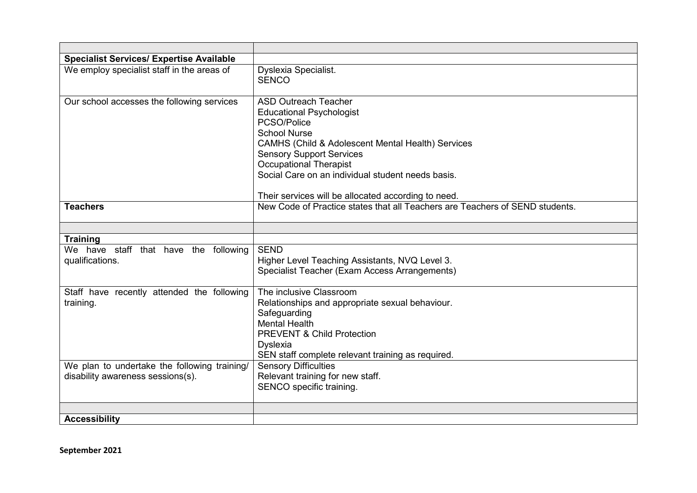| <b>Specialist Services/ Expertise Available</b>                                   |                                                                                                                                                                                                                                                                                                                                           |
|-----------------------------------------------------------------------------------|-------------------------------------------------------------------------------------------------------------------------------------------------------------------------------------------------------------------------------------------------------------------------------------------------------------------------------------------|
| We employ specialist staff in the areas of                                        | Dyslexia Specialist.<br><b>SENCO</b>                                                                                                                                                                                                                                                                                                      |
| Our school accesses the following services                                        | <b>ASD Outreach Teacher</b><br><b>Educational Psychologist</b><br>PCSO/Police<br><b>School Nurse</b><br>CAMHS (Child & Adolescent Mental Health) Services<br><b>Sensory Support Services</b><br><b>Occupational Therapist</b><br>Social Care on an individual student needs basis.<br>Their services will be allocated according to need. |
| <b>Teachers</b>                                                                   | New Code of Practice states that all Teachers are Teachers of SEND students.                                                                                                                                                                                                                                                              |
|                                                                                   |                                                                                                                                                                                                                                                                                                                                           |
| <b>Training</b><br>We have staff that have the following<br>qualifications.       | <b>SEND</b><br>Higher Level Teaching Assistants, NVQ Level 3.<br>Specialist Teacher (Exam Access Arrangements)                                                                                                                                                                                                                            |
| Staff have recently attended the following<br>training.                           | The inclusive Classroom<br>Relationships and appropriate sexual behaviour.<br>Safeguarding<br><b>Mental Health</b><br><b>PREVENT &amp; Child Protection</b><br><b>Dyslexia</b><br>SEN staff complete relevant training as required.                                                                                                       |
| We plan to undertake the following training/<br>disability awareness sessions(s). | <b>Sensory Difficulties</b><br>Relevant training for new staff.<br>SENCO specific training.                                                                                                                                                                                                                                               |
| <b>Accessibility</b>                                                              |                                                                                                                                                                                                                                                                                                                                           |

**September 2021**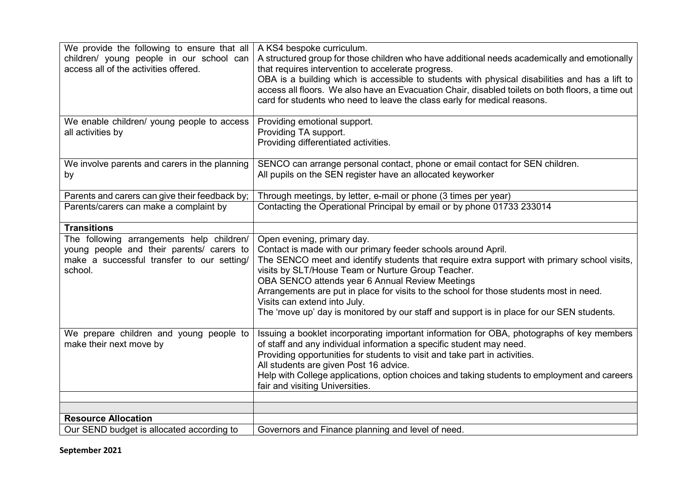| We provide the following to ensure that all<br>children/ young people in our school can<br>access all of the activities offered.                | A KS4 bespoke curriculum.<br>A structured group for those children who have additional needs academically and emotionally<br>that requires intervention to accelerate progress.<br>OBA is a building which is accessible to students with physical disabilities and has a lift to<br>access all floors. We also have an Evacuation Chair, disabled toilets on both floors, a time out<br>card for students who need to leave the class early for medical reasons.                                                           |
|-------------------------------------------------------------------------------------------------------------------------------------------------|-----------------------------------------------------------------------------------------------------------------------------------------------------------------------------------------------------------------------------------------------------------------------------------------------------------------------------------------------------------------------------------------------------------------------------------------------------------------------------------------------------------------------------|
| We enable children/ young people to access<br>all activities by                                                                                 | Providing emotional support.<br>Providing TA support.<br>Providing differentiated activities.                                                                                                                                                                                                                                                                                                                                                                                                                               |
| We involve parents and carers in the planning<br>by                                                                                             | SENCO can arrange personal contact, phone or email contact for SEN children.<br>All pupils on the SEN register have an allocated keyworker                                                                                                                                                                                                                                                                                                                                                                                  |
| Parents and carers can give their feedback by;                                                                                                  | Through meetings, by letter, e-mail or phone (3 times per year)                                                                                                                                                                                                                                                                                                                                                                                                                                                             |
| Parents/carers can make a complaint by                                                                                                          | Contacting the Operational Principal by email or by phone 01733 233014                                                                                                                                                                                                                                                                                                                                                                                                                                                      |
| <b>Transitions</b>                                                                                                                              |                                                                                                                                                                                                                                                                                                                                                                                                                                                                                                                             |
| The following arrangements help children/<br>young people and their parents/ carers to<br>make a successful transfer to our setting/<br>school. | Open evening, primary day.<br>Contact is made with our primary feeder schools around April.<br>The SENCO meet and identify students that require extra support with primary school visits,<br>visits by SLT/House Team or Nurture Group Teacher.<br>OBA SENCO attends year 6 Annual Review Meetings<br>Arrangements are put in place for visits to the school for those students most in need.<br>Visits can extend into July.<br>The 'move up' day is monitored by our staff and support is in place for our SEN students. |
| We prepare children and young people to<br>make their next move by                                                                              | Issuing a booklet incorporating important information for OBA, photographs of key members<br>of staff and any individual information a specific student may need.<br>Providing opportunities for students to visit and take part in activities.<br>All students are given Post 16 advice.<br>Help with College applications, option choices and taking students to employment and careers<br>fair and visiting Universities.                                                                                                |
| <b>Resource Allocation</b>                                                                                                                      |                                                                                                                                                                                                                                                                                                                                                                                                                                                                                                                             |
| Our SEND budget is allocated according to                                                                                                       | Governors and Finance planning and level of need.                                                                                                                                                                                                                                                                                                                                                                                                                                                                           |

**September 2021**